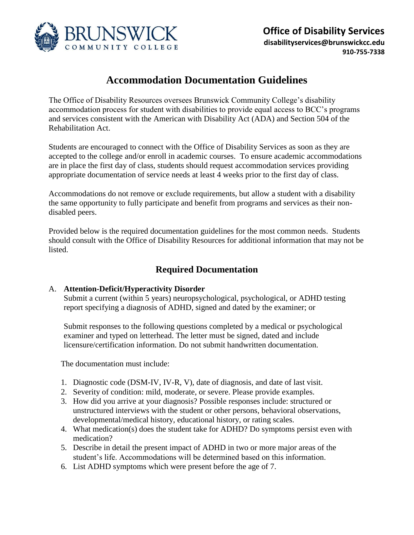

# **Accommodation Documentation Guidelines**

The Office of Disability Resources oversees Brunswick Community College's disability accommodation process for student with disabilities to provide equal access to BCC's programs and services consistent with the American with Disability Act (ADA) and Section 504 of the Rehabilitation Act.

Students are encouraged to connect with the Office of Disability Services as soon as they are accepted to the college and/or enroll in academic courses. To ensure academic accommodations are in place the first day of class, students should request accommodation services providing appropriate documentation of service needs at least 4 weeks prior to the first day of class.

Accommodations do not remove or exclude requirements, but allow a student with a disability the same opportunity to fully participate and benefit from programs and services as their nondisabled peers.

Provided below is the required documentation guidelines for the most common needs. Students should consult with the Office of Disability Resources for additional information that may not be listed.

# **Required Documentation**

#### A. **Attention-Deficit/Hyperactivity Disorder**

Submit a current (within 5 years) neuropsychological, psychological, or ADHD testing report specifying a diagnosis of ADHD, signed and dated by the examiner; or

Submit responses to the following questions completed by a medical or psychological examiner and typed on letterhead. The letter must be signed, dated and include licensure/certification information. Do not submit handwritten documentation.

The documentation must include:

- 1. Diagnostic code (DSM-IV, IV-R, V), date of diagnosis, and date of last visit.
- 2. Severity of condition: mild, moderate, or severe. Please provide examples.
- 3. How did you arrive at your diagnosis? Possible responses include: structured or unstructured interviews with the student or other persons, behavioral observations, developmental/medical history, educational history, or rating scales.
- 4. What medication(s) does the student take for ADHD? Do symptoms persist even with medication?
- 5. Describe in detail the present impact of ADHD in two or more major areas of the student's life. Accommodations will be determined based on this information.
- 6. List ADHD symptoms which were present before the age of 7.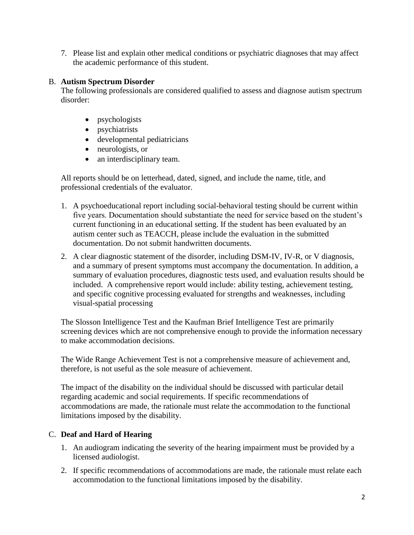7. Please list and explain other medical conditions or psychiatric diagnoses that may affect the academic performance of this student.

### B. **Autism Spectrum Disorder**

The following professionals are considered qualified to assess and diagnose autism spectrum disorder:

- psychologists
- psychiatrists
- developmental pediatricians
- neurologists, or
- an interdisciplinary team.

All reports should be on letterhead, dated, signed, and include the name, title, and professional credentials of the evaluator.

- 1. A psychoeducational report including social-behavioral testing should be current within five years. Documentation should substantiate the need for service based on the student's current functioning in an educational setting. If the student has been evaluated by an autism center such as TEACCH, please include the evaluation in the submitted documentation. Do not submit handwritten documents.
- 2. A clear diagnostic statement of the disorder, including DSM-IV, IV-R, or V diagnosis, and a summary of present symptoms must accompany the documentation. In addition, a summary of evaluation procedures, diagnostic tests used, and evaluation results should be included. A comprehensive report would include: ability testing, achievement testing, and specific cognitive processing evaluated for strengths and weaknesses, including visual-spatial processing

The Slosson Intelligence Test and the Kaufman Brief Intelligence Test are primarily screening devices which are not comprehensive enough to provide the information necessary to make accommodation decisions.

The Wide Range Achievement Test is not a comprehensive measure of achievement and, therefore, is not useful as the sole measure of achievement.

The impact of the disability on the individual should be discussed with particular detail regarding academic and social requirements. If specific recommendations of accommodations are made, the rationale must relate the accommodation to the functional limitations imposed by the disability.

# C. **Deaf and Hard of Hearing**

- 1. An audiogram indicating the severity of the hearing impairment must be provided by a licensed audiologist.
- 2. If specific recommendations of accommodations are made, the rationale must relate each accommodation to the functional limitations imposed by the disability.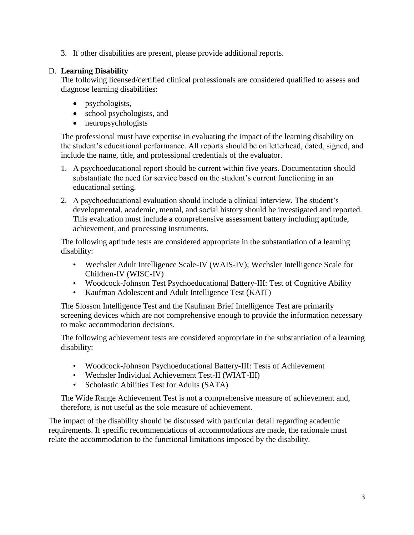3. If other disabilities are present, please provide additional reports.

### D. **Learning Disability**

The following licensed/certified clinical professionals are considered qualified to assess and diagnose learning disabilities:

- psychologists,
- school psychologists, and
- neuropsychologists

The professional must have expertise in evaluating the impact of the learning disability on the student's educational performance. All reports should be on letterhead, dated, signed, and include the name, title, and professional credentials of the evaluator.

- 1. A psychoeducational report should be current within five years. Documentation should substantiate the need for service based on the student's current functioning in an educational setting.
- 2. A psychoeducational evaluation should include a clinical interview. The student's developmental, academic, mental, and social history should be investigated and reported. This evaluation must include a comprehensive assessment battery including aptitude, achievement, and processing instruments.

The following aptitude tests are considered appropriate in the substantiation of a learning disability:

- Wechsler Adult Intelligence Scale-IV (WAIS-IV); Wechsler Intelligence Scale for Children-IV (WISC-IV)
- Woodcock-Johnson Test Psychoeducational Battery-III: Test of Cognitive Ability
- Kaufman Adolescent and Adult Intelligence Test (KAIT)

The Slosson Intelligence Test and the Kaufman Brief Intelligence Test are primarily screening devices which are not comprehensive enough to provide the information necessary to make accommodation decisions.

The following achievement tests are considered appropriate in the substantiation of a learning disability:

- Woodcock-Johnson Psychoeducational Battery-III: Tests of Achievement
- Wechsler Individual Achievement Test-II (WIAT-III)
- Scholastic Abilities Test for Adults (SATA)

The Wide Range Achievement Test is not a comprehensive measure of achievement and, therefore, is not useful as the sole measure of achievement.

The impact of the disability should be discussed with particular detail regarding academic requirements. If specific recommendations of accommodations are made, the rationale must relate the accommodation to the functional limitations imposed by the disability.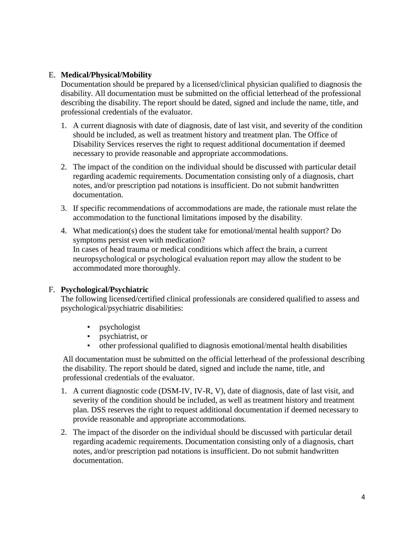### E. **[Medical/Physical/Mobility](https://www.brunswickcc.edu/resources/accessibility-at-bcc/?preview_id=20721&preview_nonce=73c547ddf0&_thumbnail_id=23893&preview=true)**

Documentation should be prepared by a licensed/clinical physician qualified to diagnosis the disability. All documentation must be submitted on the official letterhead of the professional describing the disability. The report should be dated, signed and include the name, title, and professional credentials of the evaluator.

- 1. A current diagnosis with date of diagnosis, date of last visit, and severity of the condition should be included, as well as treatment history and treatment plan. The Office of Disability Services reserves the right to request additional documentation if deemed necessary to provide reasonable and appropriate accommodations.
- 2. The impact of the condition on the individual should be discussed with particular detail regarding academic requirements. Documentation consisting only of a diagnosis, chart notes, and/or prescription pad notations is insufficient. Do not submit handwritten documentation.
- 3. If specific recommendations of accommodations are made, the rationale must relate the accommodation to the functional limitations imposed by the disability.
- 4. What medication(s) does the student take for emotional/mental health support? Do symptoms persist even with medication? In cases of head trauma or medical conditions which affect the brain, a current neuropsychological or psychological evaluation report may allow the student to be accommodated more thoroughly.

#### F. **[Psychological/Psychiatric](https://www.brunswickcc.edu/resources/accessibility-at-bcc/?preview_id=20721&preview_nonce=73c547ddf0&_thumbnail_id=23893&preview=true)**

The following licensed/certified clinical professionals are considered qualified to assess and psychological/psychiatric disabilities:

- psychologist
- psychiatrist, or
- other professional qualified to diagnosis emotional/mental health disabilities

All documentation must be submitted on the official letterhead of the professional describing the disability. The report should be dated, signed and include the name, title, and professional credentials of the evaluator.

- 1. A current diagnostic code (DSM-IV, IV-R, V), date of diagnosis, date of last visit, and severity of the condition should be included, as well as treatment history and treatment plan. DSS reserves the right to request additional documentation if deemed necessary to provide reasonable and appropriate accommodations.
- 2. The impact of the disorder on the individual should be discussed with particular detail regarding academic requirements. Documentation consisting only of a diagnosis, chart notes, and/or prescription pad notations is insufficient. Do not submit handwritten documentation.